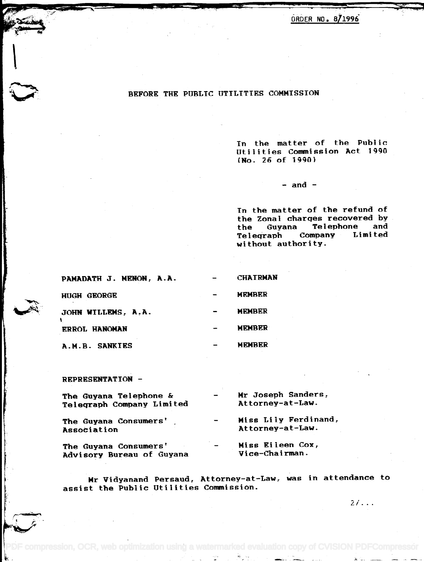<u>ORDER NO. 8/1996</u>

## BEFORE THE PUBLIC UTILITIES COMMISSION

In the matter of the Public In the matter of the Publ ic Utilities Commission Act 1990 Utilities Commission Act 1990 (No. 26 of 1990) (No. 26 of 1990)

 $-$  and  $-$ 

In the matter of the refund of In the matter of the refund of the Zonal charges recovered by the Zonal charqes recovered by the Guyana Telephone and the Guyana Telephone and Telegraph Company Limited Teleqraph Company Limited without authority. without authority.

| PAMADATH J. MENON, A.A. | <b>CHAIRMAN</b> |
|-------------------------|-----------------|
| <b>HUGH GEORGE</b>      | <b>MFMBER</b>   |
| JOHN WILLEMS, A.A.      | <b>MEMBER</b>   |
| <b>ERROL HANOMAN</b>    | <b>MEMBER</b>   |
| A.M.B. SANKIES          | <b>MEMBER</b>   |

REPRESENTATION -

**استعدام** *·v*

| The Guyana Telephone &<br>Telegraph Company Limited |                                                                                                                                                   | Mr Joseph Sanders,<br>Attorney-at-Law.   |
|-----------------------------------------------------|---------------------------------------------------------------------------------------------------------------------------------------------------|------------------------------------------|
| The Guyana Consumers'<br>Association                | $\hskip1.6pt\hskip1.6pt\hskip1.6pt\hskip1.6pt\hskip1.6pt\hskip1.6pt\hskip1.6pt\hskip1.6pt\hskip1.6pt\hskip1.6pt\hskip1.6pt\hskip1.6pt\hskip1.6pt$ | Miss Lily Ferdinand,<br>Attorney-at-Law. |
| The Guyana Consumers'<br>Advisory Bureau of Guyana  | $\overline{\phantom{a}}$                                                                                                                          | Miss Eileen Cox,<br>Vice-Chairman.       |

Mr Vidyanand Persaud, Attorney-at-Law, was in attendance to assist the Public Utilities Commission. assist the Public Utilities Commission.

compression, OCR, web optimization using a watermarked evaluation copy of CVISION PDFCompressor

 $2/\ldots$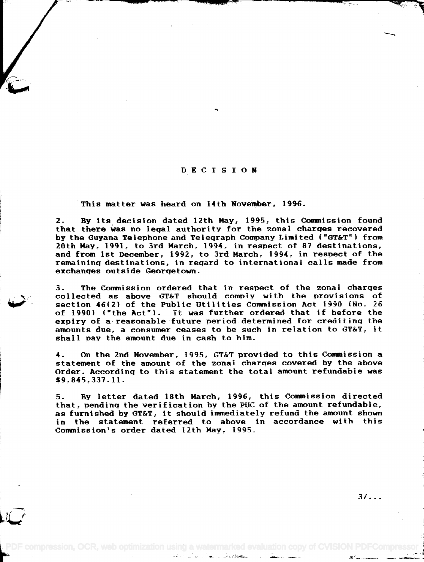## DECISION

This matter was heard on 14th November, 1996.

2. By its decision dated 12th May, 1995, this Commission found 2. By its decision dated 12th May, 1995, this Commission found that there was no legal authority for the zonal charges recovered that there was no leqal authority for the zonal charqes recovered by the Guyana Telephone and Telegraph Company Limited ("GT&T") from 20th May, 1991, to 3rd March, 1994, in respect of 87 destinations, 20th May, 1991, to 3rd March, 1994, in respect of 87 destinations, and from 1st December, 1992, to 3rd March, 1994, in respect of the and from 1st December, 1992, to 3rd March, 1994, in respect of the remaining destinations, in regard to international calls made from remaininq destinations, in reqard to international calls made from exchanges outside Georgetown. exchanqes outside Georqetown.

3. The Commission ordered that in respect of the zonal charges 3. The Conwnission ordered that in respect of the zona I charqes collected as above GT&T should comply with the provisions of collected as above GT&T should comply wi th the provisions of section 46(2) of the Public Utilities Commission Act 1990 (No. 26 section 46(2) of the Public Utilities Commission Act 1990 (No. 26 of 1990) ("the Act"). It was further ordered that if before the expiry of a reasonable future period determined for crediting the expiry of a reasonable future period determined for creditinq the amounts due, a consumer ceases to be such in relation to GT&T, it amounts due, a consumer ceases to be such in relation to GT&T, it shall pay the amount due in cash to him. shall pay the amount due in cash to him.

4. On the 2nd November, 1995, GT&T provided to this Commission a 4. On the 2nd November, 1995, GT&T provided to this Conwnission a statement of the amount of the zonal charges covered by the above statement of the amount of the zonal charqes covered by the above Order. According to this statement the total amount refundable was Order. Accordinq to this statement the total amount refundable was \$9,845,337.11. \$9,845,337.11.

5. By letter dated 18th March, 1996, this Commission directed 5. By letter dated 18th March, 1996, this Conwnission directed that, pending the verification by the PUC of the amount refundable, that, pendinq the veri ficat ion by the pue of the amount refundable, as furnished by GT&T, it should immediately refund the amount shown as furnished by GT&T, it should immediately refund the amount shown in the statement referred to above in accordance with this in the statement referred to above in accordance with this Commission's order dated 12th May, 1995. Commission's order dated 12th May, 1995.

PDF compression, OCR, web optimization using a watermarked evaluation copy of CVISION PI

3/...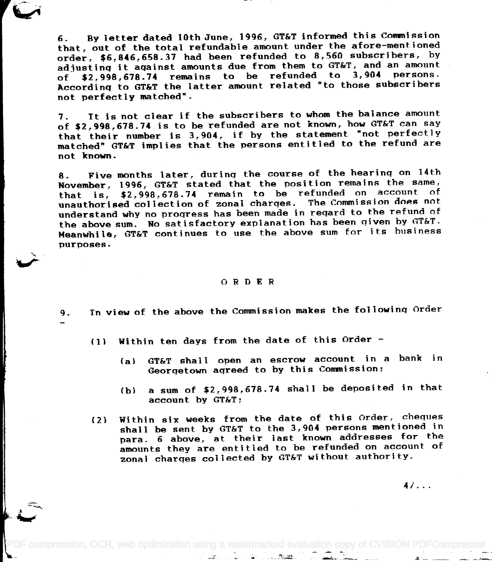6. By letter dated 10th June, 1996, GT&T informed this Commission 6. By letter dated 10th June~ 1996~ GT&T informed this Conwnission that, out of the total refundable amount under the afore-mentioned order, \$6,846,658.37 had been refunded to 8,560 subscribers, by adjusting it against amounts due from them to GT&T, and an amount adjustinq it aqainst amounts due from them to GT&Tr and an amount of \$2,998,678.74 remains to be refunded to 3,904 persons. of *\$2r998r678.74* remains to be refunded to 3,904 persons. According to GT&T the latter amount related "to those subscribers Accordinq to GT&T the latter amount related "to those subscribers not perfectly matched". not perfectly matched".

7. It is not clear if the subscribers to whom the balance amount 7. It is not clear if the subscribers to whom the balance amount of \$2,998,678.74 is to be refunded are not known, how GT&T can say of *\$2r998r678.74* is to be refunded are not knownr how GT&T can say or  $\frac{1}{2}$ ,  $\frac{1}{2}$ ,  $\frac{1}{2}$ ,  $\frac{1}{2}$  is to be refunded are not misum, now statement  $\frac{1}{2}$  and  $\frac{1}{2}$  is  $\frac{1}{2}$ ,  $\frac{1}{2}$  is  $\frac{1}{2}$ ,  $\frac{1}{2}$  is  $\frac{1}{2}$  if by the statement  $\frac{1}{2}$  not perfectly matched" GT&T implies that the persons entitled to the refund are matched" GT&T implies that the persons entitled to the refund are not known. not known.

8. Five months later, during the course of the hearing on 14th 8. Five months later, durinq the course of the hearinq on 14th November, 1996. GT&T stated that the position remains the same, November, 1996, GT&T stated that the position remains the same, that is,  $$2,998,678.74$  remain to be refunded on account of unauthorised collection of zonal charges. The Commission does not unauthorised collection of zonal charqes. The Commission does not understand why no progress has been made in regard to the refund of understand why no proqress has been made in reqard to the refund of the above sum. No satisfactory explanation has been qiven by GT&T. International continues to use the above sum for its business purposes. purposes.

## ORDER

9. In view of the above the Commission makes the following Order

- (1) Within ten days from the date of this Order -
	- (al GT&T shall open an escrow account in a bank in (a) GT&T shall open an escrow account in a bank in Georgetown agreed to by this Commission; Georqetown aqreed to by this Commission,
	- (bi a sum of \$2,998,678.74 shall be deposited in that (b) a sum of \$2,998,678.74 shall be deposited in that account by GT&T; account by GT&T;
- (2) Within six weeks from the date of this Order, cheques (2l Within six weeks from the date of this Order, cheques shall be sent by GT&T to the 3,904 persons mentioned in shall be sent by GT&T to the 3,904 persons mentioned in para. 6 above, at their last known addresses for the para. 6 above, at their last known addresses for the amounts they are entitled to be refunded on account of amounts they are entitled to be refunded on account of zonal charges collected by GT&T without authority. zonal charqes collected by GT&T without authority.

4/...